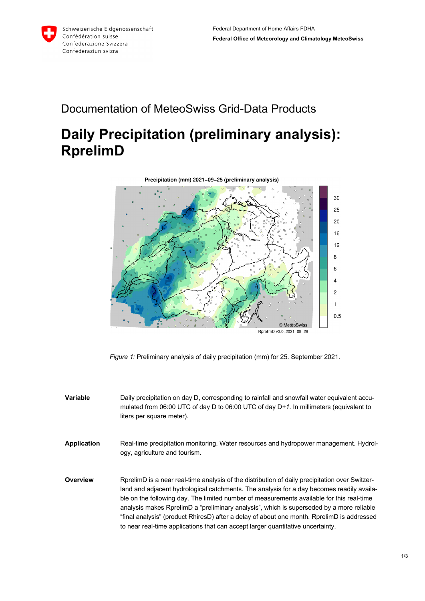

## Documentation of MeteoSwiss Grid-Data Products

## **Daily Precipitation (preliminary analysis): RprelimD**



*Figure 1:* Preliminary analysis of daily precipitation (mm) for 25. September 2021.

**Variable** Daily precipitation on day D, corresponding to rainfall and snowfall water equivalent accumulated from 06:00 UTC of day D to 06:00 UTC of day D*+1*. In millimeters (equivalent to liters per square meter).

**Application** Real-time precipitation monitoring. Water resources and hydropower management. Hydrology, agriculture and tourism.

**Overview** RprelimD is a near real-time analysis of the distribution of daily precipitation over Switzerland and adjacent hydrological catchments. The analysis for a day becomes readily available on the following day. The limited number of measurements available for this real-time analysis makes RprelimD a "preliminary analysis", which is superseded by a more reliable "final analysis" (product RhiresD) after a delay of about one month. RprelimD is addressed to near real-time applications that can accept larger quantitative uncertainty.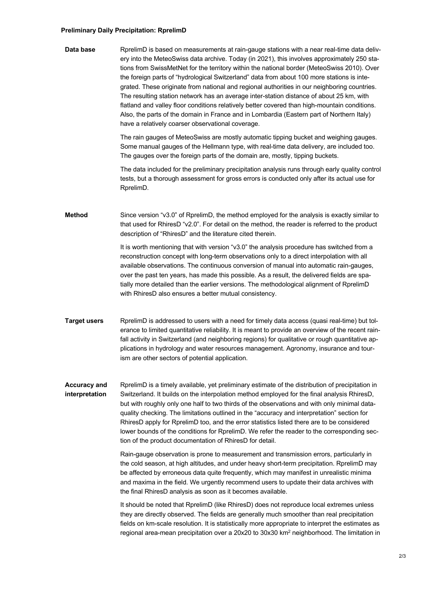## **Preliminary Daily Precipitation: RprelimD**

**Data base** RprelimD is based on measurements at rain-gauge stations with a near real-time data delivery into the MeteoSwiss data archive. Today (in 2021), this involves approximately 250 stations from SwissMetNet for the territory within the national border (MeteoSwiss 2010). Over the foreign parts of "hydrological Switzerland" data from about 100 more stations is integrated. These originate from national and regional authorities in our neighboring countries. The resulting station network has an average inter-station distance of about 25 km, with flatland and valley floor conditions relatively better covered than high-mountain conditions. Also, the parts of the domain in France and in Lombardia (Eastern part of Northern Italy) have a relatively coarser observational coverage.

> The rain gauges of MeteoSwiss are mostly automatic tipping bucket and weighing gauges. Some manual gauges of the Hellmann type, with real-time data delivery, are included too. The gauges over the foreign parts of the domain are, mostly, tipping buckets.

The data included for the preliminary precipitation analysis runs through early quality control tests, but a thorough assessment for gross errors is conducted only after its actual use for RprelimD.

**Method** Since version "v3.0" of RprelimD, the method employed for the analysis is exactly similar to that used for RhiresD "v2.0". For detail on the method, the reader is referred to the product description of "RhiresD" and the literature cited therein.

> It is worth mentioning that with version "v3.0" the analysis procedure has switched from a reconstruction concept with long-term observations only to a direct interpolation with all available observations. The continuous conversion of manual into automatic rain-gauges, over the past ten years, has made this possible. As a result, the delivered fields are spatially more detailed than the earlier versions. The methodological alignment of RprelimD with RhiresD also ensures a better mutual consistency.

**Target users** RprelimD is addressed to users with a need for timely data access (quasi real-time) but tolerance to limited quantitative reliability. It is meant to provide an overview of the recent rainfall activity in Switzerland (and neighboring regions) for qualitative or rough quantitative applications in hydrology and water resources management. Agronomy, insurance and tourism are other sectors of potential application.

**Accuracy and interpretation** RprelimD is a timely available, yet preliminary estimate of the distribution of precipitation in Switzerland. It builds on the interpolation method employed for the final analysis RhiresD, but with roughly only one half to two thirds of the observations and with only minimal dataquality checking. The limitations outlined in the "accuracy and interpretation" section for RhiresD apply for RprelimD too, and the error statistics listed there are to be considered lower bounds of the conditions for RprelimD. We refer the reader to the corresponding section of the product documentation of RhiresD for detail.

> Rain-gauge observation is prone to measurement and transmission errors, particularly in the cold season, at high altitudes, and under heavy short-term precipitation. RprelimD may be affected by erroneous data quite frequently, which may manifest in unrealistic minima and maxima in the field. We urgently recommend users to update their data archives with the final RhiresD analysis as soon as it becomes available.

It should be noted that RprelimD (like RhiresD) does not reproduce local extremes unless they are directly observed. The fields are generally much smoother than real precipitation fields on km-scale resolution. It is statistically more appropriate to interpret the estimates as regional area-mean precipitation over a  $20x20$  to  $30x30$  km<sup>2</sup> neighborhood. The limitation in